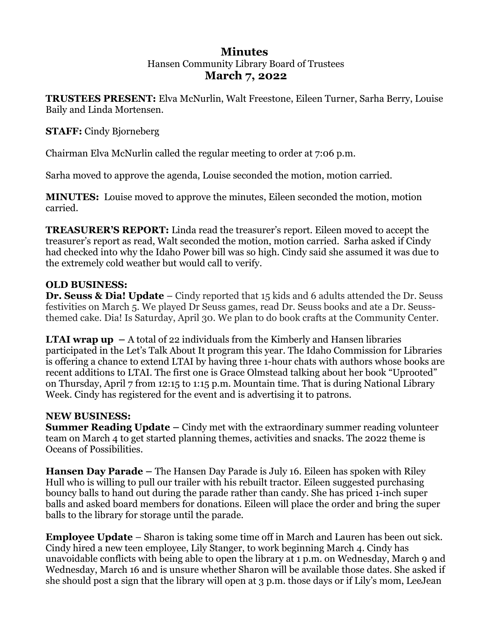### **Minutes**  Hansen Community Library Board of Trustees **March 7, 2022**

**TRUSTEES PRESENT:** Elva McNurlin, Walt Freestone, Eileen Turner, Sarha Berry, Louise Baily and Linda Mortensen.

### **STAFF:** Cindy Bjorneberg

Chairman Elva McNurlin called the regular meeting to order at 7:06 p.m.

Sarha moved to approve the agenda, Louise seconded the motion, motion carried.

**MINUTES:** Louise moved to approve the minutes, Eileen seconded the motion, motion carried.

**TREASURER'S REPORT:** Linda read the treasurer's report. Eileen moved to accept the treasurer's report as read, Walt seconded the motion, motion carried. Sarha asked if Cindy had checked into why the Idaho Power bill was so high. Cindy said she assumed it was due to the extremely cold weather but would call to verify.

# **OLD BUSINESS:**

**Dr. Seuss & Dia! Update** – Cindy reported that 15 kids and 6 adults attended the Dr. Seuss festivities on March 5. We played Dr Seuss games, read Dr. Seuss books and ate a Dr. Seussthemed cake. Dia! Is Saturday, April 30. We plan to do book crafts at the Community Center.

**LTAI wrap up**  $-$  A total of 22 individuals from the Kimberly and Hansen libraries participated in the Let's Talk About It program this year. The Idaho Commission for Libraries is offering a chance to extend LTAI by having three 1-hour chats with authors whose books are recent additions to LTAI. The first one is Grace Olmstead talking about her book "Uprooted" on Thursday, April 7 from 12:15 to 1:15 p.m. Mountain time. That is during National Library Week. Cindy has registered for the event and is advertising it to patrons.

### **NEW BUSINESS:**

**Summer Reading Update –** Cindy met with the extraordinary summer reading volunteer team on March 4 to get started planning themes, activities and snacks. The 2022 theme is Oceans of Possibilities.

**Hansen Day Parade –** The Hansen Day Parade is July 16. Eileen has spoken with Riley Hull who is willing to pull our trailer with his rebuilt tractor. Eileen suggested purchasing bouncy balls to hand out during the parade rather than candy. She has priced 1-inch super balls and asked board members for donations. Eileen will place the order and bring the super balls to the library for storage until the parade.

**Employee Update** – Sharon is taking some time off in March and Lauren has been out sick. Cindy hired a new teen employee, Lily Stanger, to work beginning March 4. Cindy has unavoidable conflicts with being able to open the library at 1 p.m. on Wednesday, March 9 and Wednesday, March 16 and is unsure whether Sharon will be available those dates. She asked if she should post a sign that the library will open at 3 p.m. those days or if Lily's mom, LeeJean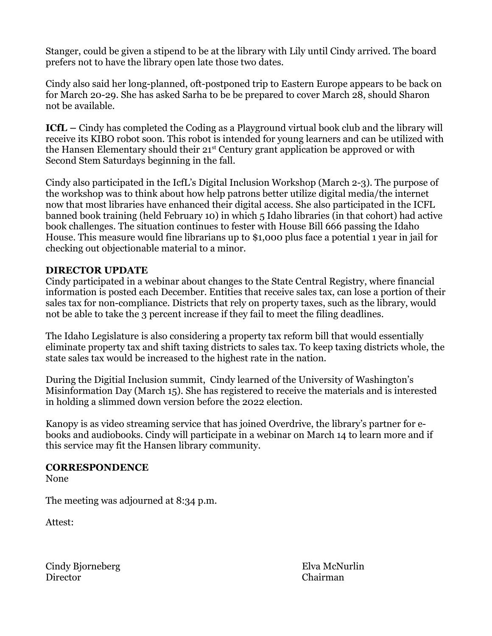Stanger, could be given a stipend to be at the library with Lily until Cindy arrived. The board prefers not to have the library open late those two dates.

Cindy also said her long-planned, oft-postponed trip to Eastern Europe appears to be back on for March 20-29. She has asked Sarha to be be prepared to cover March 28, should Sharon not be available.

**ICfL –** Cindy has completed the Coding as a Playground virtual book club and the library will receive its KIBO robot soon. This robot is intended for young learners and can be utilized with the Hansen Elementary should their  $21<sup>st</sup>$  Century grant application be approved or with Second Stem Saturdays beginning in the fall.

Cindy also participated in the IcfL's Digital Inclusion Workshop (March 2-3). The purpose of the workshop was to think about how help patrons better utilize digital media/the internet now that most libraries have enhanced their digital access. She also participated in the ICFL banned book training (held February 10) in which 5 Idaho libraries (in that cohort) had active book challenges. The situation continues to fester with House Bill 666 passing the Idaho House. This measure would fine librarians up to \$1,000 plus face a potential 1 year in jail for checking out objectionable material to a minor.

### **DIRECTOR UPDATE**

Cindy participated in a webinar about changes to the State Central Registry, where financial information is posted each December. Entities that receive sales tax, can lose a portion of their sales tax for non-compliance. Districts that rely on property taxes, such as the library, would not be able to take the 3 percent increase if they fail to meet the filing deadlines.

The Idaho Legislature is also considering a property tax reform bill that would essentially eliminate property tax and shift taxing districts to sales tax. To keep taxing districts whole, the state sales tax would be increased to the highest rate in the nation.

During the Digitial Inclusion summit, Cindy learned of the University of Washington's Misinformation Day (March 15). She has registered to receive the materials and is interested in holding a slimmed down version before the 2022 election.

Kanopy is as video streaming service that has joined Overdrive, the library's partner for ebooks and audiobooks. Cindy will participate in a webinar on March 14 to learn more and if this service may fit the Hansen library community.

#### **CORRESPONDENCE**

None

The meeting was adjourned at 8:34 p.m.

Attest:

Cindy Bjorneberg Elva McNurlin Director Chairman